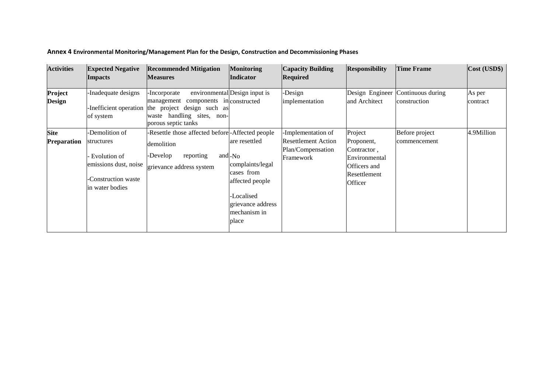| <b>Activities</b>                 | <b>Expected Negative</b><br><b>Impacts</b>                                                                     | <b>Recommended Mitigation</b><br><b>Measures</b>                                                                                                                 | <b>Monitoring</b><br>Indicator                                                                                                             | <b>Capacity Building</b><br><b>Required</b>                                        | <b>Responsibility</b>                                                                            | <b>Time Frame</b>                 | Cost (USD\$)       |
|-----------------------------------|----------------------------------------------------------------------------------------------------------------|------------------------------------------------------------------------------------------------------------------------------------------------------------------|--------------------------------------------------------------------------------------------------------------------------------------------|------------------------------------------------------------------------------------|--------------------------------------------------------------------------------------------------|-----------------------------------|--------------------|
| Project<br><b>Design</b>          | Inadequate designs<br>of system                                                                                | -Incorporate<br>components in constructed<br>management<br>Inefficient operation the project design such as<br>waste handling sites, non-<br>porous septic tanks | environmental Design input is                                                                                                              | -Design<br>implementation                                                          | Design Engineer<br>and Architect                                                                 | Continuous during<br>construction | As per<br>contract |
| <b>Site</b><br><b>Preparation</b> | -Demolition of<br>structures<br>Evolution of<br>emissions dust, noise<br>Construction waste<br>in water bodies | -Resettle those affected before-Affected people<br>demolition<br>-Develop<br>reporting<br>grievance address system                                               | are resettled<br>and - No<br>complaints/legal<br>cases from<br>affected people<br>-Localised<br>grievance address<br>mechanism in<br>place | -Implementation of<br><b>Resettlement Action</b><br>Plan/Compensation<br>Framework | Project<br>Proponent,<br>Contractor.<br>Environmental<br>Officers and<br>Resettlement<br>Officer | Before project<br>commencement    | 4.9Million         |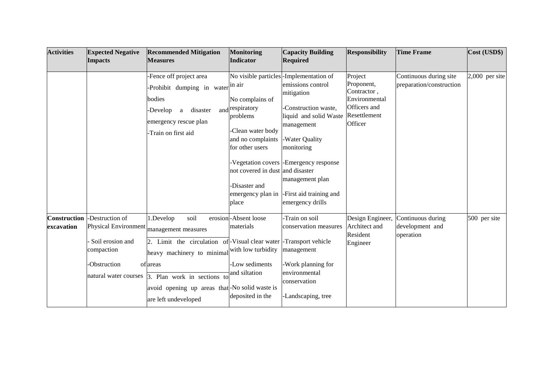| <b>Activities</b>                 | <b>Expected Negative</b><br><b>Impacts</b>                                                                                | <b>Recommended Mitigation</b><br><b>Measures</b>                                                                                                                                                                                                                                 | <b>Monitoring</b><br>Indicator                                                                                                                                                                | <b>Capacity Building</b><br><b>Required</b>                                                                                                                                                                                                                                            | <b>Responsibility</b>                                                                            | <b>Time Frame</b>                                  | Cost (USD\$)     |
|-----------------------------------|---------------------------------------------------------------------------------------------------------------------------|----------------------------------------------------------------------------------------------------------------------------------------------------------------------------------------------------------------------------------------------------------------------------------|-----------------------------------------------------------------------------------------------------------------------------------------------------------------------------------------------|----------------------------------------------------------------------------------------------------------------------------------------------------------------------------------------------------------------------------------------------------------------------------------------|--------------------------------------------------------------------------------------------------|----------------------------------------------------|------------------|
|                                   |                                                                                                                           | -Fence off project area<br>-Prohibit dumping in water in air<br>bodies<br>-Develop<br>disaster<br>a<br>emergency rescue plan<br>-Train on first aid                                                                                                                              | No complains of<br>and respiratory<br>problems<br>-Clean water body<br>and no complaints<br>for other users<br>not covered in dust and disaster<br>Disaster and<br>emergency plan in<br>place | No visible particles - Implementation of<br>emissions control<br>mitigation<br>Construction waste,<br>liquid and solid Waste<br>management<br>-Water Quality<br>monitoring<br>Vegetation covers - Emergency response<br>management plan<br>-First aid training and<br>emergency drills | Project<br>Proponent,<br>Contractor,<br>Environmental<br>Officers and<br>Resettlement<br>Officer | Continuous during site<br>preparation/construction | $2,000$ per site |
| <b>Construction</b><br>excavation | -Destruction of<br><b>Physical Environment</b><br>Soil erosion and<br>compaction<br>-Obstruction<br>natural water courses | 1.Develop<br>soil<br>management measures<br>Limit the circulation of-Visual clear water - Transport vehicle<br>heavy machinery to minimal with low turbidity<br>of areas<br>3. Plan work in sections to<br>avoid opening up areas that-No solid waste is<br>are left undeveloped | erosion-Absent loose<br>materials<br>-Low sediments<br>and siltation<br>deposited in the                                                                                                      | Train on soil<br>conservation measures<br>management<br>-Work planning for<br>environmental<br>conservation<br>-Landscaping, tree                                                                                                                                                      | Design Engineer,<br>Architect and<br>Resident<br>Engineer                                        | Continuous during<br>development and<br>operation  | 500 per site     |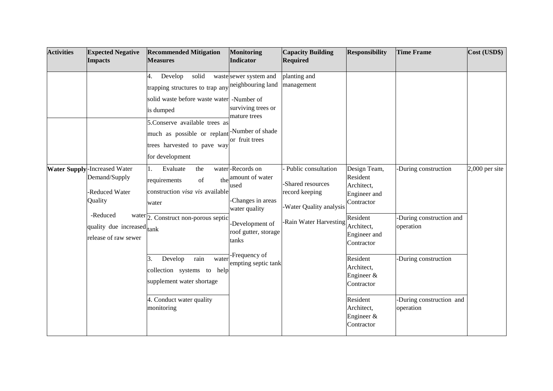| <b>Activities</b> | <b>Expected Negative</b><br><b>Impacts</b>                                                                                                          | <b>Recommended Mitigation</b><br><b>Measures</b>                                                                                                                                                                                                        | <b>Monitoring</b><br>Indicator                                                                                                       | <b>Capacity Building</b><br><b>Required</b>                                                                     | <b>Responsibility</b>                                                                                                        | <b>Time Frame</b>                                             | Cost (USD\$)     |
|-------------------|-----------------------------------------------------------------------------------------------------------------------------------------------------|---------------------------------------------------------------------------------------------------------------------------------------------------------------------------------------------------------------------------------------------------------|--------------------------------------------------------------------------------------------------------------------------------------|-----------------------------------------------------------------------------------------------------------------|------------------------------------------------------------------------------------------------------------------------------|---------------------------------------------------------------|------------------|
|                   |                                                                                                                                                     | Develop<br>solid<br>4.<br>trapping structures to trap any<br>solid waste before waste water -Number of<br>is dumped<br>5. Conserve available trees as<br>much as possible or replant -Number of shade<br>trees harvested to pave way<br>for development | waste sewer system and<br>neighbouring land<br>surviving trees or<br>mature trees<br>or fruit trees                                  | planting and<br>management                                                                                      |                                                                                                                              |                                                               |                  |
|                   | <b>Water Supply-Increased Water</b><br>Demand/Supply<br>-Reduced Water<br>Quality<br>-Reduced<br>quality due increased tank<br>release of raw sewer | Evaluate<br>the<br>1.<br>the<br>of<br>requirements<br>construction visa vis available<br>water<br>$\text{water}$ $\boxed{2. \text{ Construct non-porous septic}}$                                                                                       | water-Records on<br>amount of water<br>used<br>-Changes in areas<br>water quality<br>Development of<br>roof gutter, storage<br>tanks | Public consultation<br>-Shared resources<br>record keeping<br>-Water Quality analysis<br>-Rain Water Harvesting | Design Team,<br>Resident<br>Architect,<br>Engineer and<br>Contractor<br>Resident<br>Architect,<br>Engineer and<br>Contractor | -During construction<br>-During construction and<br>operation | $2,000$ per site |
|                   |                                                                                                                                                     | rain<br>Develop<br>3.<br>water<br>collection systems to help<br>supplement water shortage<br>4. Conduct water quality<br>monitoring                                                                                                                     | -Frequency of<br>empting septic tank                                                                                                 |                                                                                                                 | Resident<br>Architect,<br>Engineer $&$<br>Contractor<br>Resident<br>Architect,<br>Engineer &<br>Contractor                   | -During construction<br>-During construction and<br>operation |                  |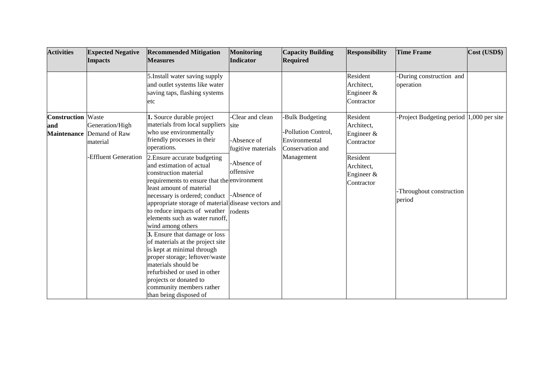| <b>Activities</b>          | <b>Expected Negative</b><br><b>Impacts</b>                                                             | <b>Recommended Mitigation</b><br><b>Measures</b>                                                                                                                                                                                                                                                                                                                                                                                                                                                                                                                                                                                                                                                                                                                        | <b>Monitoring</b><br>Indicator                                                                           | <b>Capacity Building</b><br><b>Required</b>                                               | <b>Responsibility</b>                                                                                      | <b>Time Frame</b>                                                             | Cost (USD\$) |
|----------------------------|--------------------------------------------------------------------------------------------------------|-------------------------------------------------------------------------------------------------------------------------------------------------------------------------------------------------------------------------------------------------------------------------------------------------------------------------------------------------------------------------------------------------------------------------------------------------------------------------------------------------------------------------------------------------------------------------------------------------------------------------------------------------------------------------------------------------------------------------------------------------------------------------|----------------------------------------------------------------------------------------------------------|-------------------------------------------------------------------------------------------|------------------------------------------------------------------------------------------------------------|-------------------------------------------------------------------------------|--------------|
|                            |                                                                                                        | 5. Install water saving supply<br>and outlet systems like water<br>saving taps, flashing systems<br>etc                                                                                                                                                                                                                                                                                                                                                                                                                                                                                                                                                                                                                                                                 |                                                                                                          |                                                                                           | Resident<br>Architect,<br>Engineer &<br>Contractor                                                         | -During construction and<br>operation                                         |              |
| <b>Construction</b><br>and | Waste<br>Generation/High<br><b>Maintenance Demand of Raw</b><br>material<br><b>Effluent Generation</b> | 1. Source durable project<br>materials from local suppliers<br>who use environmentally<br>friendly processes in their<br>operations.<br>2. Ensure accurate budgeting<br>and estimation of actual<br>construction material<br>requirements to ensure that the environment<br>least amount of material<br>necessary is ordered; conduct<br>appropriate storage of material disease vectors and<br>to reduce impacts of weather rodents<br>elements such as water runoff,<br>wind among others<br>3. Ensure that damage or loss<br>of materials at the project site<br>is kept at minimal through<br>proper storage; leftover/waste<br>materials should be<br>refurbished or used in other<br>projects or donated to<br>community members rather<br>than being disposed of | -Clear and clean<br>site<br>-Absence of<br>fugitive materials<br>-Absence of<br>offensive<br>-Absence of | -Bulk Budgeting<br>-Pollution Control,<br>Environmental<br>Conservation and<br>Management | Resident<br>Architect,<br>Engineer $&$<br>Contractor<br>Resident<br>Architect,<br>Engineer &<br>Contractor | Project Budgeting period 1,000 per site<br>-Throughout construction<br>period |              |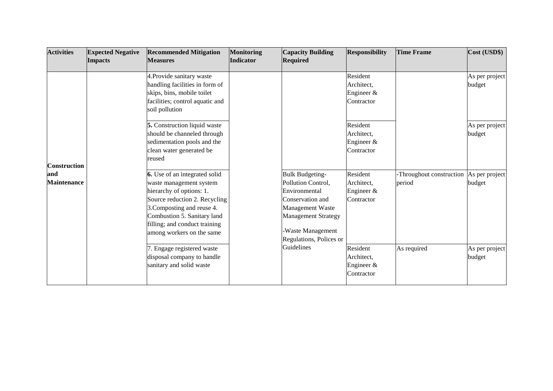| <b>Activities</b>         | <b>Expected Negative</b><br><b>Impacts</b> | <b>Recommended Mitigation</b><br><b>Measures</b>                                                                                                                                                                                                 | <b>Monitoring</b><br><b>Indicator</b> | <b>Capacity Building</b><br><b>Required</b>                                                                                                                                               | <b>Responsibility</b>                                | <b>Time Frame</b>                                 | Cost (USD\$)             |
|---------------------------|--------------------------------------------|--------------------------------------------------------------------------------------------------------------------------------------------------------------------------------------------------------------------------------------------------|---------------------------------------|-------------------------------------------------------------------------------------------------------------------------------------------------------------------------------------------|------------------------------------------------------|---------------------------------------------------|--------------------------|
|                           |                                            | 4. Provide sanitary waste<br>handling facilities in form of<br>skips, bins, mobile toilet<br>facilities; control aquatic and<br>soil pollution                                                                                                   |                                       |                                                                                                                                                                                           | Resident<br>Architect,<br>Engineer $&$<br>Contractor |                                                   | As per project<br>budget |
| <b>Construction</b>       |                                            | 5. Construction liquid waste<br>should be channeled through<br>sedimentation pools and the<br>clean water generated be<br>reused                                                                                                                 |                                       |                                                                                                                                                                                           | Resident<br>Architect,<br>Engineer $&$<br>Contractor |                                                   | As per project<br>budget |
| and<br><b>Maintenance</b> |                                            | 6. Use of an integrated solid<br>waste management system<br>hierarchy of options: 1.<br>Source reduction 2. Recycling<br>3. Composting and reuse 4.<br>Combustion 5. Sanitary land<br>filling; and conduct training<br>among workers on the same |                                       | <b>Bulk Budgeting-</b><br>Pollution Control,<br><b>Environmental</b><br>Conservation and<br>Management Waste<br><b>Management Strategy</b><br>Waste Management<br>Regulations, Polices or | Resident<br>Architect,<br>Engineer $&$<br>Contractor | -Throughout construction As per project<br>period | budget                   |
|                           |                                            | . Engage registered waste<br>disposal company to handle<br>sanitary and solid waste                                                                                                                                                              |                                       | Guidelines                                                                                                                                                                                | Resident<br>Architect,<br>Engineer $&$<br>Contractor | As required                                       | As per project<br>budget |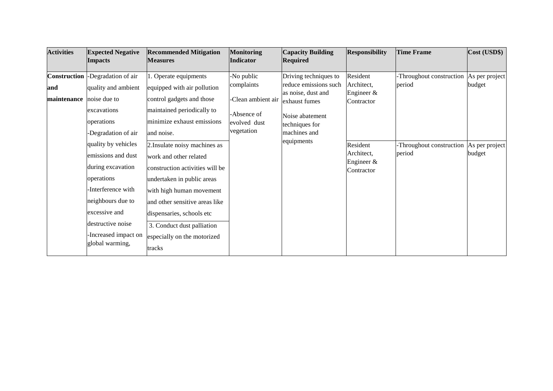| <b>Activities</b>                         | <b>Expected Negative</b><br><b>Impacts</b>                                                                                                                                                                                                                                                                             | <b>Recommended Mitigation</b><br><b>Measures</b>                                                                                                                                                                                                                                                                                                                                                                                                         | <b>Monitoring</b><br>Indicator                                                              | <b>Capacity Building</b><br><b>Required</b>                                                                                                              | <b>Responsibility</b>                                                                                         | <b>Time Frame</b>                                                        | Cost (USD\$)                                         |
|-------------------------------------------|------------------------------------------------------------------------------------------------------------------------------------------------------------------------------------------------------------------------------------------------------------------------------------------------------------------------|----------------------------------------------------------------------------------------------------------------------------------------------------------------------------------------------------------------------------------------------------------------------------------------------------------------------------------------------------------------------------------------------------------------------------------------------------------|---------------------------------------------------------------------------------------------|----------------------------------------------------------------------------------------------------------------------------------------------------------|---------------------------------------------------------------------------------------------------------------|--------------------------------------------------------------------------|------------------------------------------------------|
| <b>Construction</b><br>and<br>maintenance | Degradation of air<br>quality and ambient<br>noise due to<br>excavations<br>operations<br>Degradation of air<br>quality by vehicles<br>emissions and dust<br>during excavation<br>operations<br>Interference with<br>neighbours due to<br>excessive and<br>destructive noise<br>Increased impact on<br>global warming, | . Operate equipments<br>equipped with air pollution<br>control gadgets and those<br>maintained periodically to<br>minimize exhaust emissions<br>and noise.<br>2. Insulate noisy machines as<br>work and other related<br>construction activities will be<br>undertaken in public areas<br>with high human movement<br>and other sensitive areas like<br>dispensaries, schools etc<br>3. Conduct dust palliation<br>especially on the motorized<br>tracks | -No public<br>complaints<br>-Clean ambient air<br>-Absence of<br>evolved dust<br>vegetation | Driving techniques to<br>reduce emissions such<br>as noise, dust and<br>exhaust fumes<br>Noise abatement<br>techniques for<br>machines and<br>equipments | Resident<br>Architect,<br>Engineer $\&$<br>Contractor<br>Resident<br>Architect,<br>Engineer $&$<br>Contractor | -Throughout construction<br>period<br>-Throughout construction<br>period | As per project<br>budget<br>As per project<br>budget |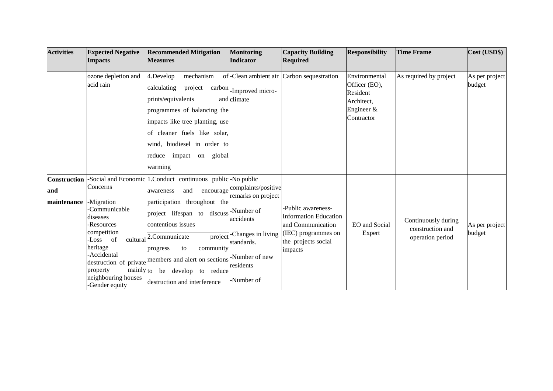| <b>Activities</b>                         | <b>Expected Negative</b><br><b>Impacts</b>                                                                                                                                                        | <b>Recommended Mitigation</b><br><b>Measures</b>                                                                                                                                                                                                                                                                                                                                                  | <b>Monitoring</b><br><b>Indicator</b>                                                                                                    | <b>Capacity Building</b><br><b>Required</b>                                                                                      | <b>Responsibility</b>                                                                   | <b>Time Frame</b>                                           | Cost (USD\$)             |
|-------------------------------------------|---------------------------------------------------------------------------------------------------------------------------------------------------------------------------------------------------|---------------------------------------------------------------------------------------------------------------------------------------------------------------------------------------------------------------------------------------------------------------------------------------------------------------------------------------------------------------------------------------------------|------------------------------------------------------------------------------------------------------------------------------------------|----------------------------------------------------------------------------------------------------------------------------------|-----------------------------------------------------------------------------------------|-------------------------------------------------------------|--------------------------|
|                                           | ozone depletion and<br>acid rain                                                                                                                                                                  | 4.Develop<br>mechanism<br>calculating<br>project<br>prints/equivalents<br>programmes of balancing the<br>impacts like tree planting, use<br>of cleaner fuels like solar,<br>wind, biodiesel in order to<br>reduce impact on<br>global<br>warming                                                                                                                                                  | of-Clean ambient air<br>carbon - Improved micro-<br>and climate                                                                          | Carbon sequestration                                                                                                             | Environmental<br>Officer (EO),<br>Resident<br>Architect,<br>Engineer $\&$<br>Contractor | As required by project                                      | As per project<br>budget |
| <b>Construction</b><br>and<br>maintenance | Concerns<br>-Migration<br>Communicable<br>diseases<br>-Resources<br>competition<br>Loss of<br>heritage<br>Accidental<br>mainly <sub>to</sub><br>property<br>neighbouring houses<br>-Gender equity | -Social and Economic 1. Conduct continuous public - No public<br>and<br>awareness<br>participation throughout the<br>project lifespan to discuss <sup>-Number of</sup><br>contentious issues<br>cultural <sup>2.</sup> Communicate<br>community<br>to<br>progress<br>destruction of private members and alert on sections - Number of new<br>be develop to reduce<br>destruction and interference | encourage complaints/positive<br>remarks on project<br>accidents<br>project - Changes in living<br>standards.<br>residents<br>-Number of | -Public awareness-<br><b>Information Education</b><br>and Communication<br>(IEC) programmes on<br>the projects social<br>impacts | EO and Social<br>Expert                                                                 | Continuously during<br>construction and<br>operation period | As per project<br>budget |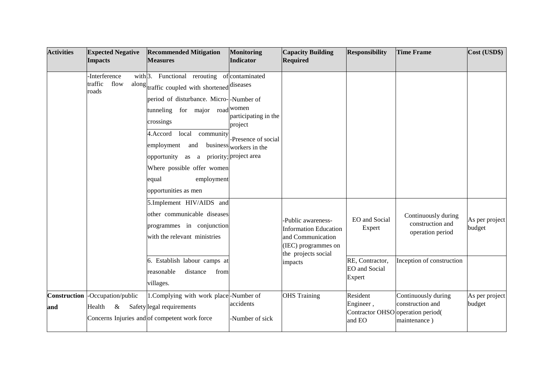| <b>Activities</b>          | <b>Expected Negative</b><br><b>Impacts</b>                                                                                                                                                          | <b>Recommended Mitigation</b><br><b>Measures</b>                                                                                                                                                                                                                                                                                                                           | <b>Monitoring</b><br>Indicator                                                                                                  | <b>Capacity Building</b><br><b>Required</b> | <b>Responsibility</b>                                                                    | <b>Time Frame</b>                                       | Cost (USD\$)             |
|----------------------------|-----------------------------------------------------------------------------------------------------------------------------------------------------------------------------------------------------|----------------------------------------------------------------------------------------------------------------------------------------------------------------------------------------------------------------------------------------------------------------------------------------------------------------------------------------------------------------------------|---------------------------------------------------------------------------------------------------------------------------------|---------------------------------------------|------------------------------------------------------------------------------------------|---------------------------------------------------------|--------------------------|
|                            | <b>Interference</b><br>flow<br>traffic<br>roads                                                                                                                                                     | with 3. Functional rerouting of contaminated<br>along traffic coupled with shortened diseases<br>period of disturbance. Micro--Number of<br>tunneling for major road women<br>crossings<br>4. Accord<br>local<br>community<br>employment<br>and<br>as a priority; project area<br>opportunity<br>Where possible offer women<br>employment<br>equal<br>opportunities as men | participating in the<br>project<br>Presence of social<br>business workers in the                                                |                                             |                                                                                          |                                                         |                          |
|                            | 5.Implement HIV/AIDS and<br>other communicable diseases<br>programmes in conjunction<br>with the relevant ministries<br>6. Establish labour camps at<br>reasonable<br>distance<br>from<br>villages. |                                                                                                                                                                                                                                                                                                                                                                            | Public awareness-<br><b>Information Education</b><br>and Communication<br>(IEC) programmes on<br>the projects social<br>impacts | EO and Social<br>Expert<br>RE, Contractor,  | Continuously during<br>construction and<br>operation period<br>Inception of construction | As per project<br>budget                                |                          |
|                            |                                                                                                                                                                                                     |                                                                                                                                                                                                                                                                                                                                                                            |                                                                                                                                 |                                             | <b>EO</b> and Social<br>Expert                                                           |                                                         |                          |
| <b>Construction</b><br>and | -Occupation/public<br>Health<br>&                                                                                                                                                                   | 1. Complying with work place-Number of<br>Safety legal requirements<br>Concerns Injuries and of competent work force                                                                                                                                                                                                                                                       | accidents<br>Number of sick-                                                                                                    | <b>OHS</b> Training                         | Resident<br>Engineer,<br>Contractor OHSO operation period(<br>and EO                     | Continuously during<br>construction and<br>maintenance) | As per project<br>budget |